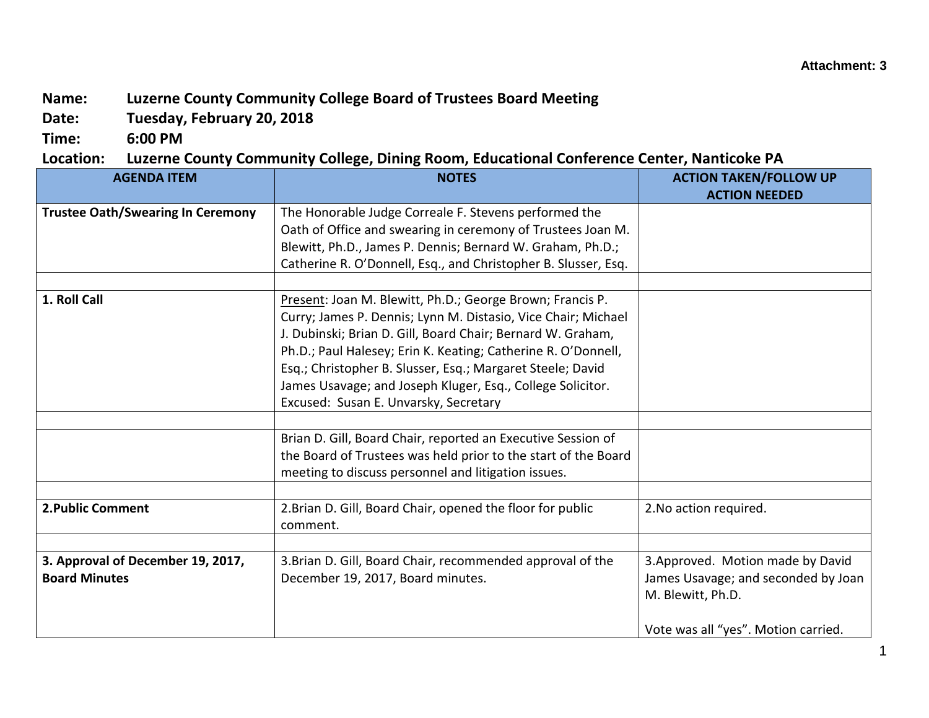## **Name: Luzerne County Community College Board of Trustees Board Meeting**

**Date: Tuesday, February 20, 2018**

**Time: 6:00 PM**

## **Location: Luzerne County Community College, Dining Room, Educational Conference Center, Nanticoke PA**

| <b>AGENDA ITEM</b>                                        | <b>NOTES</b>                                                                                                                                                                                                                                                                                                                                                                                                                    | <b>ACTION TAKEN/FOLLOW UP</b><br><b>ACTION NEEDED</b>                                                                                |
|-----------------------------------------------------------|---------------------------------------------------------------------------------------------------------------------------------------------------------------------------------------------------------------------------------------------------------------------------------------------------------------------------------------------------------------------------------------------------------------------------------|--------------------------------------------------------------------------------------------------------------------------------------|
| <b>Trustee Oath/Swearing In Ceremony</b>                  | The Honorable Judge Correale F. Stevens performed the<br>Oath of Office and swearing in ceremony of Trustees Joan M.<br>Blewitt, Ph.D., James P. Dennis; Bernard W. Graham, Ph.D.;<br>Catherine R. O'Donnell, Esq., and Christopher B. Slusser, Esq.                                                                                                                                                                            |                                                                                                                                      |
| 1. Roll Call                                              | Present: Joan M. Blewitt, Ph.D.; George Brown; Francis P.<br>Curry; James P. Dennis; Lynn M. Distasio, Vice Chair; Michael<br>J. Dubinski; Brian D. Gill, Board Chair; Bernard W. Graham,<br>Ph.D.; Paul Halesey; Erin K. Keating; Catherine R. O'Donnell,<br>Esq.; Christopher B. Slusser, Esq.; Margaret Steele; David<br>James Usavage; and Joseph Kluger, Esq., College Solicitor.<br>Excused: Susan E. Unvarsky, Secretary |                                                                                                                                      |
|                                                           | Brian D. Gill, Board Chair, reported an Executive Session of<br>the Board of Trustees was held prior to the start of the Board<br>meeting to discuss personnel and litigation issues.                                                                                                                                                                                                                                           |                                                                                                                                      |
| 2. Public Comment                                         | 2. Brian D. Gill, Board Chair, opened the floor for public<br>comment.                                                                                                                                                                                                                                                                                                                                                          | 2. No action required.                                                                                                               |
| 3. Approval of December 19, 2017,<br><b>Board Minutes</b> | 3. Brian D. Gill, Board Chair, recommended approval of the<br>December 19, 2017, Board minutes.                                                                                                                                                                                                                                                                                                                                 | 3. Approved. Motion made by David<br>James Usavage; and seconded by Joan<br>M. Blewitt, Ph.D.<br>Vote was all "yes". Motion carried. |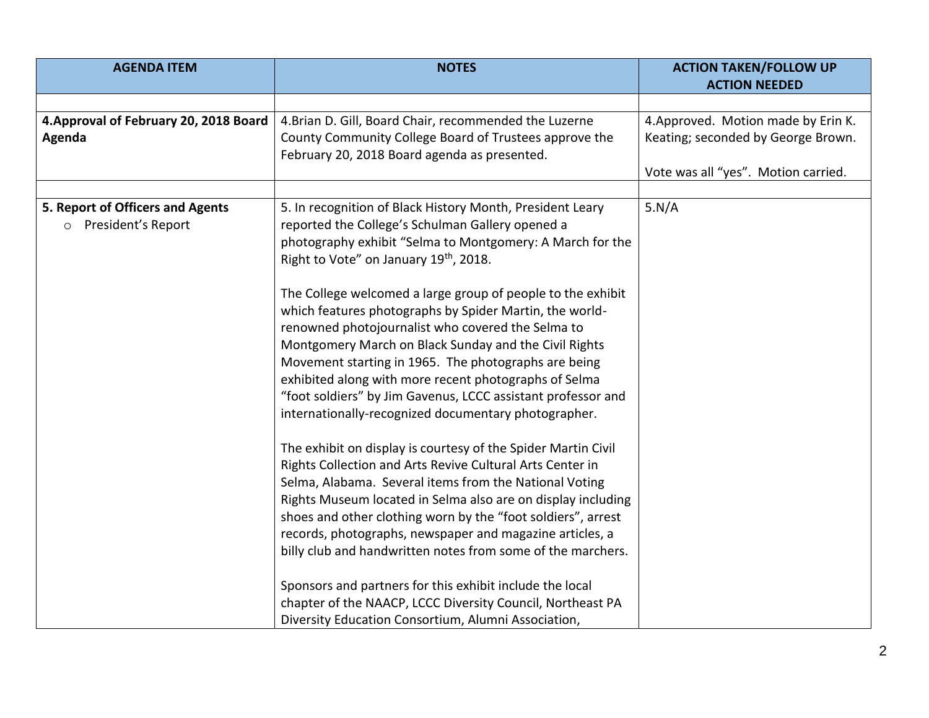| <b>AGENDA ITEM</b>                                                | <b>NOTES</b>                                                                                                                                                                                                                                                                                                                                                                                                                                                                                                                                                                                                                                                                                                                                                                                                                                                                                                                                                                                                                                                                                                                                                                                                                                                                                   | <b>ACTION TAKEN/FOLLOW UP</b>                                                                                    |
|-------------------------------------------------------------------|------------------------------------------------------------------------------------------------------------------------------------------------------------------------------------------------------------------------------------------------------------------------------------------------------------------------------------------------------------------------------------------------------------------------------------------------------------------------------------------------------------------------------------------------------------------------------------------------------------------------------------------------------------------------------------------------------------------------------------------------------------------------------------------------------------------------------------------------------------------------------------------------------------------------------------------------------------------------------------------------------------------------------------------------------------------------------------------------------------------------------------------------------------------------------------------------------------------------------------------------------------------------------------------------|------------------------------------------------------------------------------------------------------------------|
|                                                                   |                                                                                                                                                                                                                                                                                                                                                                                                                                                                                                                                                                                                                                                                                                                                                                                                                                                                                                                                                                                                                                                                                                                                                                                                                                                                                                | <b>ACTION NEEDED</b>                                                                                             |
| 4. Approval of February 20, 2018 Board<br>Agenda                  | 4. Brian D. Gill, Board Chair, recommended the Luzerne<br>County Community College Board of Trustees approve the<br>February 20, 2018 Board agenda as presented.                                                                                                                                                                                                                                                                                                                                                                                                                                                                                                                                                                                                                                                                                                                                                                                                                                                                                                                                                                                                                                                                                                                               | 4. Approved. Motion made by Erin K.<br>Keating; seconded by George Brown.<br>Vote was all "yes". Motion carried. |
| 5. Report of Officers and Agents<br>President's Report<br>$\circ$ | 5. In recognition of Black History Month, President Leary<br>reported the College's Schulman Gallery opened a<br>photography exhibit "Selma to Montgomery: A March for the<br>Right to Vote" on January 19 <sup>th</sup> , 2018.<br>The College welcomed a large group of people to the exhibit<br>which features photographs by Spider Martin, the world-<br>renowned photojournalist who covered the Selma to<br>Montgomery March on Black Sunday and the Civil Rights<br>Movement starting in 1965. The photographs are being<br>exhibited along with more recent photographs of Selma<br>"foot soldiers" by Jim Gavenus, LCCC assistant professor and<br>internationally-recognized documentary photographer.<br>The exhibit on display is courtesy of the Spider Martin Civil<br>Rights Collection and Arts Revive Cultural Arts Center in<br>Selma, Alabama. Several items from the National Voting<br>Rights Museum located in Selma also are on display including<br>shoes and other clothing worn by the "foot soldiers", arrest<br>records, photographs, newspaper and magazine articles, a<br>billy club and handwritten notes from some of the marchers.<br>Sponsors and partners for this exhibit include the local<br>chapter of the NAACP, LCCC Diversity Council, Northeast PA | 5.N/A                                                                                                            |
|                                                                   | Diversity Education Consortium, Alumni Association,                                                                                                                                                                                                                                                                                                                                                                                                                                                                                                                                                                                                                                                                                                                                                                                                                                                                                                                                                                                                                                                                                                                                                                                                                                            |                                                                                                                  |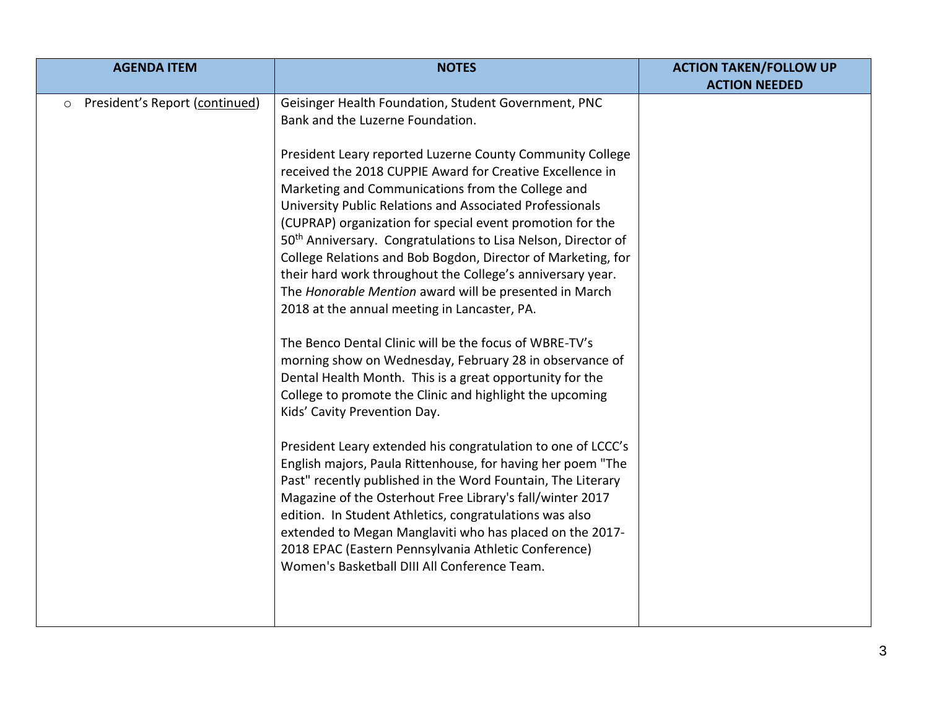| <b>AGENDA ITEM</b>                        | <b>NOTES</b>                                                                                                                                                                                                                                                                                                                                                                                                                                                                                                                                                                                                                                                                        | <b>ACTION TAKEN/FOLLOW UP</b> |
|-------------------------------------------|-------------------------------------------------------------------------------------------------------------------------------------------------------------------------------------------------------------------------------------------------------------------------------------------------------------------------------------------------------------------------------------------------------------------------------------------------------------------------------------------------------------------------------------------------------------------------------------------------------------------------------------------------------------------------------------|-------------------------------|
|                                           |                                                                                                                                                                                                                                                                                                                                                                                                                                                                                                                                                                                                                                                                                     | <b>ACTION NEEDED</b>          |
| President's Report (continued)<br>$\circ$ | Geisinger Health Foundation, Student Government, PNC<br>Bank and the Luzerne Foundation.                                                                                                                                                                                                                                                                                                                                                                                                                                                                                                                                                                                            |                               |
|                                           | President Leary reported Luzerne County Community College<br>received the 2018 CUPPIE Award for Creative Excellence in<br>Marketing and Communications from the College and<br>University Public Relations and Associated Professionals<br>(CUPRAP) organization for special event promotion for the<br>50 <sup>th</sup> Anniversary. Congratulations to Lisa Nelson, Director of<br>College Relations and Bob Bogdon, Director of Marketing, for<br>their hard work throughout the College's anniversary year.<br>The Honorable Mention award will be presented in March<br>2018 at the annual meeting in Lancaster, PA.<br>The Benco Dental Clinic will be the focus of WBRE-TV's |                               |
|                                           | morning show on Wednesday, February 28 in observance of<br>Dental Health Month. This is a great opportunity for the<br>College to promote the Clinic and highlight the upcoming<br>Kids' Cavity Prevention Day.                                                                                                                                                                                                                                                                                                                                                                                                                                                                     |                               |
|                                           | President Leary extended his congratulation to one of LCCC's<br>English majors, Paula Rittenhouse, for having her poem "The<br>Past" recently published in the Word Fountain, The Literary<br>Magazine of the Osterhout Free Library's fall/winter 2017<br>edition. In Student Athletics, congratulations was also<br>extended to Megan Manglaviti who has placed on the 2017-<br>2018 EPAC (Eastern Pennsylvania Athletic Conference)<br>Women's Basketball DIII All Conference Team.                                                                                                                                                                                              |                               |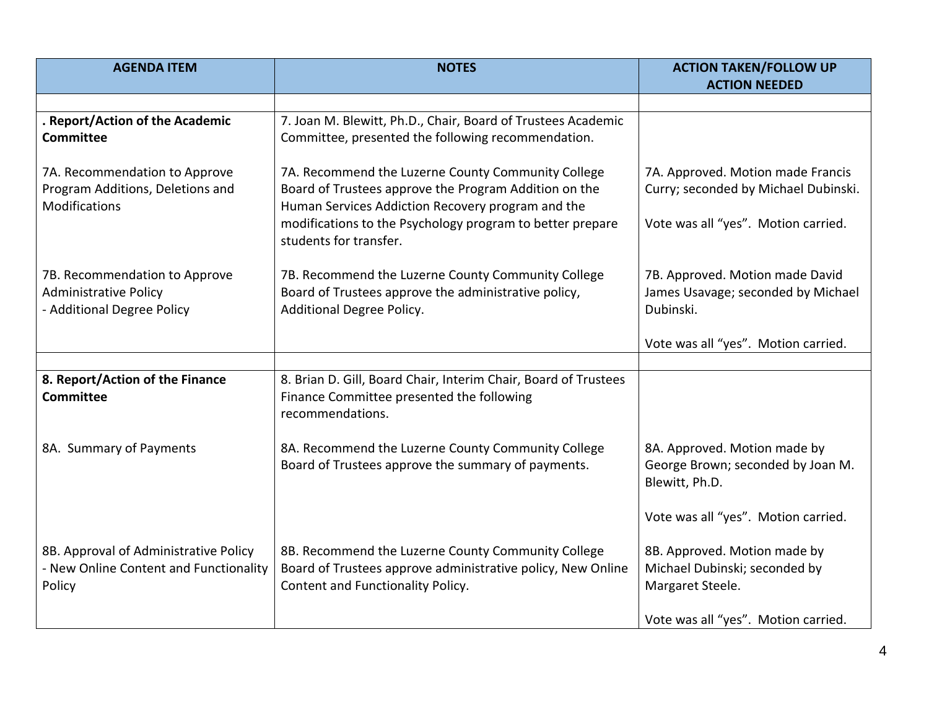| <b>AGENDA ITEM</b>                                                                          | <b>NOTES</b>                                                                                                                                                     | <b>ACTION TAKEN/FOLLOW UP</b><br><b>ACTION NEEDED</b>                               |
|---------------------------------------------------------------------------------------------|------------------------------------------------------------------------------------------------------------------------------------------------------------------|-------------------------------------------------------------------------------------|
|                                                                                             |                                                                                                                                                                  |                                                                                     |
| . Report/Action of the Academic<br><b>Committee</b>                                         | 7. Joan M. Blewitt, Ph.D., Chair, Board of Trustees Academic<br>Committee, presented the following recommendation.                                               |                                                                                     |
| 7A. Recommendation to Approve<br>Program Additions, Deletions and<br>Modifications          | 7A. Recommend the Luzerne County Community College<br>Board of Trustees approve the Program Addition on the<br>Human Services Addiction Recovery program and the | 7A. Approved. Motion made Francis<br>Curry; seconded by Michael Dubinski.           |
|                                                                                             | modifications to the Psychology program to better prepare<br>students for transfer.                                                                              | Vote was all "yes". Motion carried.                                                 |
| 7B. Recommendation to Approve<br><b>Administrative Policy</b><br>- Additional Degree Policy | 7B. Recommend the Luzerne County Community College<br>Board of Trustees approve the administrative policy,<br>Additional Degree Policy.                          | 7B. Approved. Motion made David<br>James Usavage; seconded by Michael<br>Dubinski.  |
|                                                                                             |                                                                                                                                                                  | Vote was all "yes". Motion carried.                                                 |
|                                                                                             |                                                                                                                                                                  |                                                                                     |
| 8. Report/Action of the Finance<br><b>Committee</b>                                         | 8. Brian D. Gill, Board Chair, Interim Chair, Board of Trustees<br>Finance Committee presented the following<br>recommendations.                                 |                                                                                     |
| 8A. Summary of Payments                                                                     | 8A. Recommend the Luzerne County Community College<br>Board of Trustees approve the summary of payments.                                                         | 8A. Approved. Motion made by<br>George Brown; seconded by Joan M.<br>Blewitt, Ph.D. |
|                                                                                             |                                                                                                                                                                  | Vote was all "yes". Motion carried.                                                 |
| 8B. Approval of Administrative Policy<br>- New Online Content and Functionality<br>Policy   | 8B. Recommend the Luzerne County Community College<br>Board of Trustees approve administrative policy, New Online<br>Content and Functionality Policy.           | 8B. Approved. Motion made by<br>Michael Dubinski; seconded by<br>Margaret Steele.   |
|                                                                                             |                                                                                                                                                                  | Vote was all "yes". Motion carried.                                                 |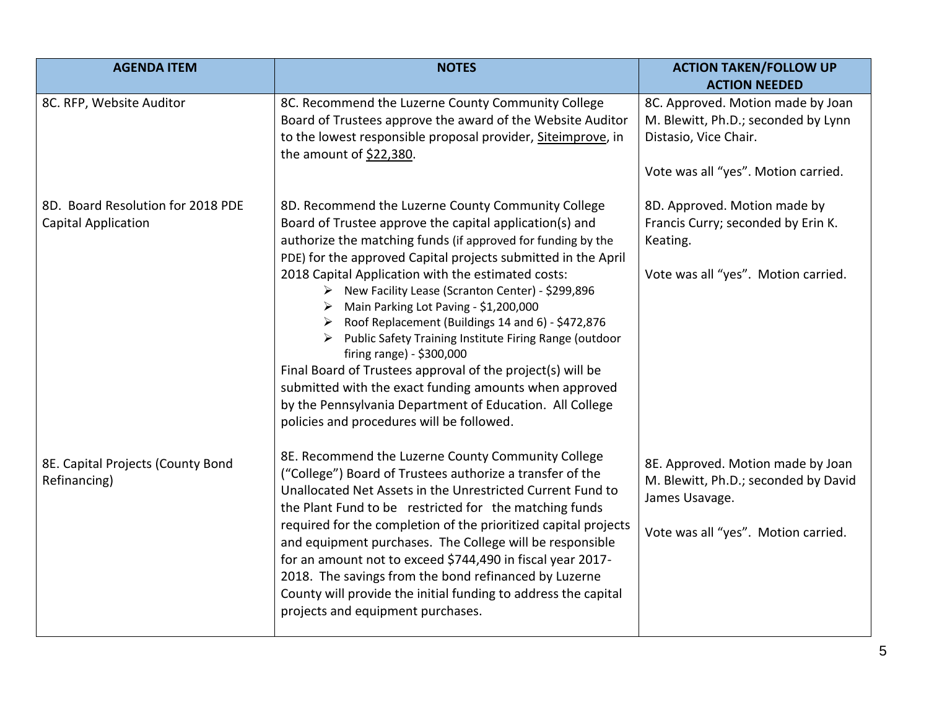| <b>AGENDA ITEM</b>                                              | <b>NOTES</b>                                                                                                                                                                                                                                                                                                                                                                                                                                                                                                                                                                                                                                                                                                                                                                               | <b>ACTION TAKEN/FOLLOW UP</b>                                                                                                            |
|-----------------------------------------------------------------|--------------------------------------------------------------------------------------------------------------------------------------------------------------------------------------------------------------------------------------------------------------------------------------------------------------------------------------------------------------------------------------------------------------------------------------------------------------------------------------------------------------------------------------------------------------------------------------------------------------------------------------------------------------------------------------------------------------------------------------------------------------------------------------------|------------------------------------------------------------------------------------------------------------------------------------------|
|                                                                 |                                                                                                                                                                                                                                                                                                                                                                                                                                                                                                                                                                                                                                                                                                                                                                                            | <b>ACTION NEEDED</b>                                                                                                                     |
| 8C. RFP, Website Auditor                                        | 8C. Recommend the Luzerne County Community College<br>Board of Trustees approve the award of the Website Auditor<br>to the lowest responsible proposal provider, Siteimprove, in<br>the amount of $$22,380$ .                                                                                                                                                                                                                                                                                                                                                                                                                                                                                                                                                                              | 8C. Approved. Motion made by Joan<br>M. Blewitt, Ph.D.; seconded by Lynn<br>Distasio, Vice Chair.<br>Vote was all "yes". Motion carried. |
| 8D. Board Resolution for 2018 PDE<br><b>Capital Application</b> | 8D. Recommend the Luzerne County Community College<br>Board of Trustee approve the capital application(s) and<br>authorize the matching funds (if approved for funding by the<br>PDE) for the approved Capital projects submitted in the April<br>2018 Capital Application with the estimated costs:<br>> New Facility Lease (Scranton Center) - \$299,896<br>Main Parking Lot Paving - \$1,200,000<br>➤<br>Roof Replacement (Buildings 14 and 6) - \$472,876<br>➤<br>Public Safety Training Institute Firing Range (outdoor<br>firing range) - \$300,000<br>Final Board of Trustees approval of the project(s) will be<br>submitted with the exact funding amounts when approved<br>by the Pennsylvania Department of Education. All College<br>policies and procedures will be followed. | 8D. Approved. Motion made by<br>Francis Curry; seconded by Erin K.<br>Keating.<br>Vote was all "yes". Motion carried.                    |
| 8E. Capital Projects (County Bond<br>Refinancing)               | 8E. Recommend the Luzerne County Community College<br>("College") Board of Trustees authorize a transfer of the<br>Unallocated Net Assets in the Unrestricted Current Fund to<br>the Plant Fund to be restricted for the matching funds<br>required for the completion of the prioritized capital projects<br>and equipment purchases. The College will be responsible<br>for an amount not to exceed \$744,490 in fiscal year 2017-<br>2018. The savings from the bond refinanced by Luzerne<br>County will provide the initial funding to address the capital<br>projects and equipment purchases.                                                                                                                                                                                       | 8E. Approved. Motion made by Joan<br>M. Blewitt, Ph.D.; seconded by David<br>James Usavage.<br>Vote was all "yes". Motion carried.       |